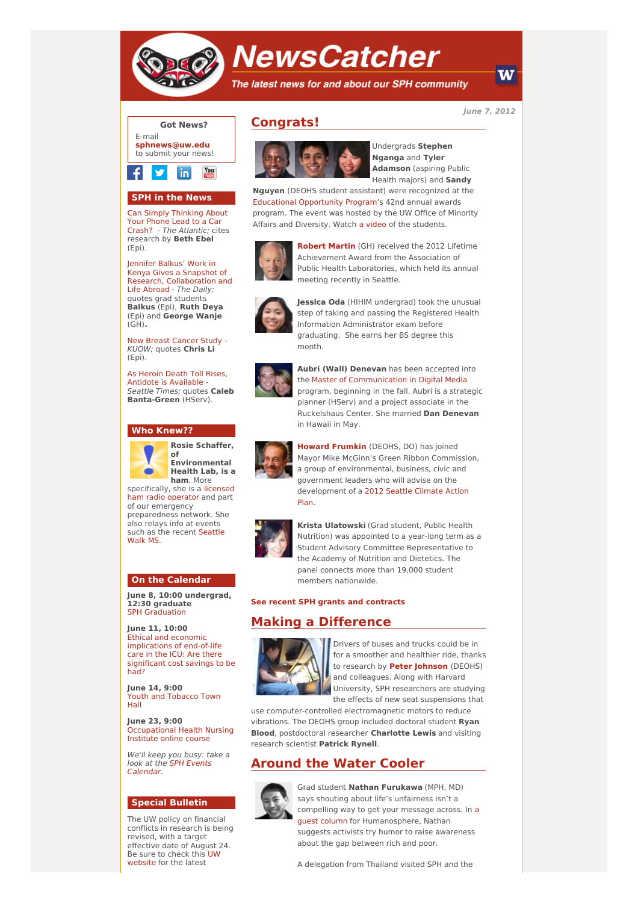

# **NewsCatcher**

The latest news for and about our SPH community

**June 7, 2012**

W



## **SPH in the News**

Can Simply [Thinking](http://engage.washington.edu/site/R?i=oOqvXwQMHbAQJTYRMqRn8w) About Your Phone Lead to a Car Crash? - The Atlantic; cites research by **Beth Ebel** (Epi).

Jennifer Balkus' Work in Kenya Gives a Snapshot of Research, [Collaboration](http://engage.washington.edu/site/R?i=8hzRxjzSNA5QC4rSZPd4ow) and Life Abroad - The Daily; quotes grad students **Balkus** (Epi), **Ruth Deya** (Epi) and **George Wanje** (GH)**.**

New Breast [Cancer](http://engage.washington.edu/site/R?i=mFkq6k_oVrkTwb2v4K96BQ) Study - KUOW; quotes **Chris Li** (Epi).

As Heroin Death Toll Rises, Antidote is [Available](http://engage.washington.edu/site/R?i=wacTkAiisR2R07M2C3wsIg) - Seattle Times; quotes **Caleb Banta-Green** (HServ).

### **Who Knew??**



**Rosie Schaffer, of Environmental Health Lab, is a ham**. More

[specifically,](http://engage.washington.edu/site/R?i=BCQplhJXn0mh8rvI92YKfQ) she is a licensed ham radio operator and part of our emergency preparedness network. She also relays info at events such as the recent [Seattle](http://engage.washington.edu/site/R?i=tzw51o_vizowQqQgnb1jOA) Walk MS.

### **On the Calendar**

**June 8, 10:00 undergrad, 12:30 graduate** SPH [Graduation](http://engage.washington.edu/site/R?i=h4XiyfRSpUjuD-V4YFALCg)

**June 11, 10:00** Ethical and economic [implications](http://engage.washington.edu/site/R?i=BMgkf18KbGzcGLX3wxSdfA) of end-of-life care in the ICU: Are there significant cost savings to be had?

**June 14, 9:00** Youth and [Tobacco](http://engage.washington.edu/site/R?i=I83vyAebGesdz0x2bw9E5g) Town Hall

**June 23, 9:00** [Occupational](http://engage.washington.edu/site/R?i=flmvkxMzeFnKPKRw2dujNQ) Health Nursing Institute online course

We'll keep you busy: take a look at the SPH Events [Calendar.](http://engage.washington.edu/site/R?i=3yHSpn7v9XdNfuQoy1I61g)

## **Special Bulletin**

The UW policy on financial conflicts in research is being revised, with a target effective date of August 24. Be sure to check this UW [website](http://engage.washington.edu/site/R?i=QkMvw460my1ymczv_wNcww) for the latest

# **Congrats!**



Undergrads **Stephen Nganga** and **Tyler Adamson** (aspiring Public Health majors) and **Sandy**

**Nguyen** (DEOHS student assistant) were recognized at the Educational [Opportunity](http://engage.washington.edu/site/R?i=r9LtR1zSeYxdXFqt1oqUHQ) Program's 42nd annual awards program. The event was hosted by the UW Office of Minority Affairs and Diversity. Watch a [video](http://engage.washington.edu/site/R?i=vCy33xuDkstTYymeMhtMPw) of the students.



**[Robert](http://engage.washington.edu/site/R?i=qgSmY2jf7Su0gt1kXpzwnw) Martin** (GH) received the 2012 Lifetime Achievement Award from the Association of Public Health Laboratories, which held its annual meeting recently in Seattle.



**Jessica Oda** (HIHIM undergrad) took the unusual step of taking and passing the Registered Health Information Administrator exam before graduating. She earns her BS degree this month.



**Aubri (Wall) Denevan** has been accepted into the Master of [Communication](http://engage.washington.edu/site/R?i=kYTicNHzEeYoaqJ1Ev0HDA) in Digital Media program, beginning in the fall. Aubri is a strategic planner (HServ) and a project associate in the Ruckelshaus Center. She married **Dan Denevan** in Hawaii in May.



**Howard [Frumkin](http://engage.washington.edu/site/R?i=aYCaN6fF9Z4B9F78G8XG8Q)** (DEOHS, DO) has joined Mayor Mike McGinn's Green Ribbon Commission, a group of environmental, business, civic and government leaders who will advise on the [development](http://engage.washington.edu/site/R?i=O4nvCAXECrTjhFBiGiOHiQ) of a 2012 Seattle Climate Action Plan.



**Krista Ulatowski** (Grad student, Public Health Nutrition) was appointed to a year-long term as a Student Advisory Committee Representative to the Academy of Nutrition and Dietetics. The panel connects more than 19,000 student members nationwide.

#### **See recent SPH grants and [contracts](http://engage.washington.edu/site/R?i=wuwH9e2bb-YCePyOaf2qTw)**

## **Making a Difference**



Drivers of buses and trucks could be in for a smoother and healthier ride, thanks to research by **Peter [Johnson](http://engage.washington.edu/site/R?i=0_hKvsG7LbrrJ_G1q1uayw)** (DEOHS) and colleagues. Along with Harvard University, SPH researchers are studying the effects of new seat suspensions that

use computer-controlled electromagnetic motors to reduce vibrations. The DEOHS group included doctoral student **Ryan Blood**, postdoctoral researcher **Charlotte Lewis** and visiting research scientist **Patrick Rynell**.

## **Around the Water Cooler**



Grad student **Nathan Furukawa** (MPH, MD) says shouting about life's unfairness isn't a compelling way to get your message across. In a guest column for [Humanosphere,](http://engage.washington.edu/site/R?i=C5esT_-6l3_3I42yltXgsA) Nathan suggests activists try humor to raise awareness about the gap between rich and poor.

A delegation from Thailand visited SPH and the